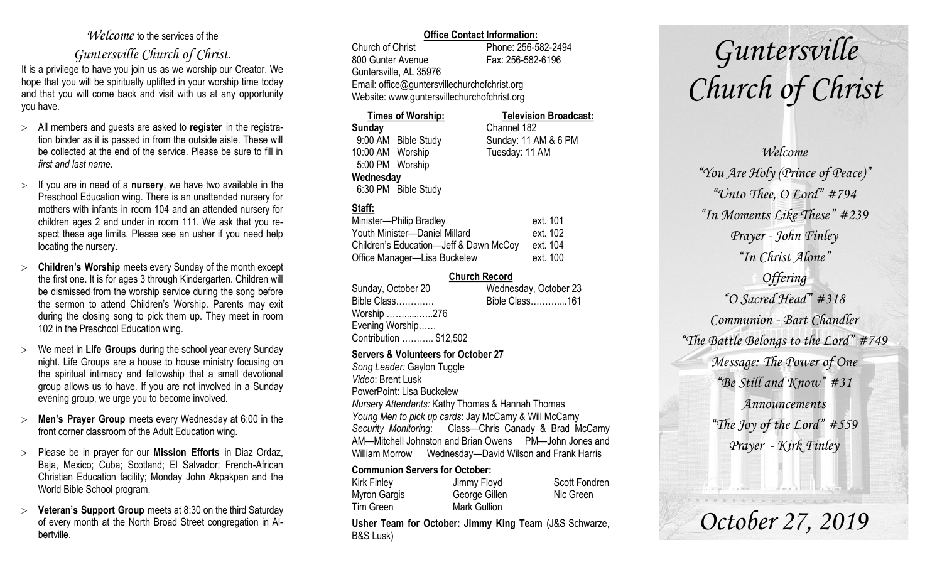### *Welcome* to the services of the

### *Guntersville Church of Christ*.

It is a privilege to have you join us as we worship our Creator. We hope that you will be spiritually uplifted in your worship time today and that you will come back and visit with us at any opportunity you have.

- All members and guests are asked to **register** in the registration binder as it is passed in from the outside aisle. These will be collected at the end of the service. Please be sure to fill in *first and last name*.
- $\geq$  If you are in need of a **nursery**, we have two available in the Preschool Education wing. There is an unattended nursery for mothers with infants in room 104 and an attended nursery for children ages 2 and under in room 111. We ask that you respect these age limits. Please see an usher if you need help locating the nursery.
- **Children's Worship** meets every Sunday of the month except the first one. It is for ages 3 through Kindergarten. Children will be dismissed from the worship service during the song before the sermon to attend Children's Worship. Parents may exit during the closing song to pick them up. They meet in room 102 in the Preschool Education wing.
- We meet in **Life Groups** during the school year every Sunday night. Life Groups are a house to house ministry focusing on the spiritual intimacy and fellowship that a small devotional group allows us to have. If you are not involved in a Sunday evening group, we urge you to become involved.
- **Men's Prayer Group** meets every Wednesday at 6:00 in the front corner classroom of the Adult Education wing.
- Please be in prayer for our **Mission Efforts** in Diaz Ordaz, Baja, Mexico; Cuba; Scotland; El Salvador; French-African Christian Education facility; Monday John Akpakpan and the World Bible School program.
- **Veteran's Support Group** meets at 8:30 on the third Saturday of every month at the North Broad Street congregation in Albertville.

### **Office Contact Information:**

Church of Christ Phone: 256-582-2494 800 Gunter Avenue Fax: 256-582-6196 Guntersville, AL 35976 Email: office@guntersvillechurchofchrist.org Website: www.guntersvillechurchofchrist.org

#### **Times of Worship: Television Broadcast: Sunday** Channel 182

9:00 AM Bible Study Sunday: 11 AM & 6 PM 10:00 AM Worship Tuesday: 11 AM 5:00 PM Worship **Wednesday** 6:30 PM Bible Study

### **Staff:**

| Minister-Philip Bradley                | ext. 101 |
|----------------------------------------|----------|
| Youth Minister-Daniel Millard          | ext. 102 |
| Children's Education-Jeff & Dawn McCoy | ext. 104 |
| Office Manager-Lisa Buckelew           | ext. 100 |

### **Church Record**

| Sunday, October 20     | Wednesday, October 23 |
|------------------------|-----------------------|
| Bible Class            | Bible Class161        |
| Worship 276            |                       |
| Evening Worship        |                       |
| Contribution  \$12,502 |                       |
|                        |                       |

### **Servers & Volunteers for October 27**

*Song Leader:* Gaylon Tuggle *Video*: Brent Lusk PowerPoint: Lisa Buckelew *Nursery Attendants:* Kathy Thomas & Hannah Thomas *Young Men to pick up cards*: Jay McCamy & Will McCamy *Security Monitoring*: Class—Chris Canady & Brad McCamy AM—Mitchell Johnston and Brian Owens PM—John Jones and William Morrow Wednesday—David Wilson and Frank Harris

### **Communion Servers for October:**

| Kirk Finley  | Jimmy Floyd         | <b>Scott Fondren</b> |
|--------------|---------------------|----------------------|
| Myron Gargis | George Gillen       | Nic Green            |
| Tim Green    | <b>Mark Gullion</b> |                      |

**Usher Team for October: Jimmy King Team** (J&S Schwarze, B&S Lusk)

# *Guntersville Church of Christ*

*Welcome "You Are Holy (Prince of Peace)" "Unto Thee, O Lord" #794 "In Moments Like These" #239 Prayer - John Finley "In Christ Alone" Offering "O Sacred Head" #318 Communion - Bart Chandler "The Battle Belongs to the Lord" #749 Message: The Power of One "Be Still and Know" #31 Announcements "The Joy of the Lord" #559 Prayer - Kirk Finley*

## *October 27, 2019*